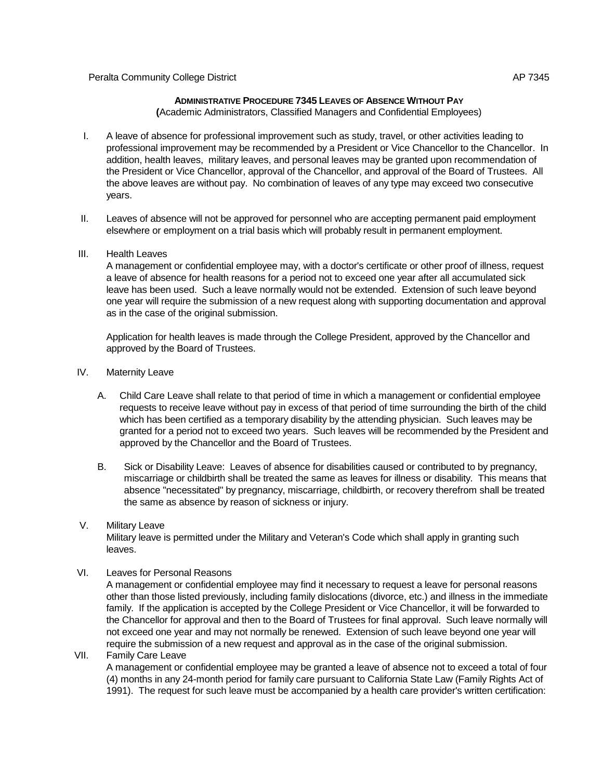## **ADMINISTRATIVE PROCEDURE 7345 LEAVES OF ABSENCE WITHOUT PAY**

**(**Academic Administrators, Classified Managers and Confidential Employees)

- I. A leave of absence for professional improvement such as study, travel, or other activities leading to professional improvement may be recommended by a President or Vice Chancellor to the Chancellor. In addition, health leaves, military leaves, and personal leaves may be granted upon recommendation of the President or Vice Chancellor, approval of the Chancellor, and approval of the Board of Trustees. All the above leaves are without pay. No combination of leaves of any type may exceed two consecutive years.
- II. Leaves of absence will not be approved for personnel who are accepting permanent paid employment elsewhere or employment on a trial basis which will probably result in permanent employment.
- III. Health Leaves

A management or confidential employee may, with a doctor's certificate or other proof of illness, request a leave of absence for health reasons for a period not to exceed one year after all accumulated sick leave has been used. Such a leave normally would not be extended. Extension of such leave beyond one year will require the submission of a new request along with supporting documentation and approval as in the case of the original submission.

Application for health leaves is made through the College President, approved by the Chancellor and approved by the Board of Trustees.

- IV. Maternity Leave
	- A. Child Care Leave shall relate to that period of time in which a management or confidential employee requests to receive leave without pay in excess of that period of time surrounding the birth of the child which has been certified as a temporary disability by the attending physician. Such leaves may be granted for a period not to exceed two years. Such leaves will be recommended by the President and approved by the Chancellor and the Board of Trustees.
	- B. Sick or Disability Leave: Leaves of absence for disabilities caused or contributed to by pregnancy, miscarriage or childbirth shall be treated the same as leaves for illness or disability. This means that absence "necessitated" by pregnancy, miscarriage, childbirth, or recovery therefrom shall be treated the same as absence by reason of sickness or injury.
- V. Military Leave

Military leave is permitted under the Military and Veteran's Code which shall apply in granting such leaves.

VI. Leaves for Personal Reasons

A management or confidential employee may find it necessary to request a leave for personal reasons other than those listed previously, including family dislocations (divorce, etc.) and illness in the immediate family. If the application is accepted by the College President or Vice Chancellor, it will be forwarded to the Chancellor for approval and then to the Board of Trustees for final approval. Such leave normally will not exceed one year and may not normally be renewed. Extension of such leave beyond one year will require the submission of a new request and approval as in the case of the original submission.

VII. Family Care Leave

A management or confidential employee may be granted a leave of absence not to exceed a total of four (4) months in any 24-month period for family care pursuant to California State Law (Family Rights Act of 1991). The request for such leave must be accompanied by a health care provider's written certification: